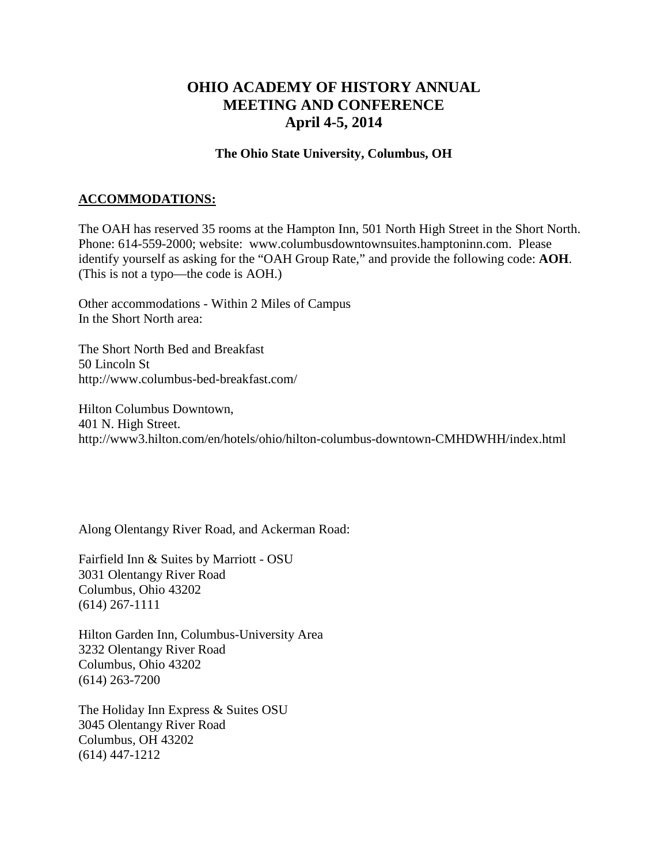## **OHIO ACADEMY OF HISTORY ANNUAL MEETING AND CONFERENCE April 4-5, 2014**

## **The Ohio State University, Columbus, OH**

## **ACCOMMODATIONS:**

The OAH has reserved 35 rooms at the Hampton Inn, 501 North High Street in the Short North. Phone: 614-559-2000; website: www.columbusdowntownsuites.hamptoninn.com. Please identify yourself as asking for the "OAH Group Rate," and provide the following code: **AOH**. (This is not a typo—the code is AOH.)

Other accommodations - Within 2 Miles of Campus In the Short North area:

The Short North Bed and Breakfast 50 Lincoln St http://www.columbus-bed-breakfast.com/

Hilton Columbus Downtown, 401 N. High Street. http://www3.hilton.com/en/hotels/ohio/hilton-columbus-downtown-CMHDWHH/index.html

Along Olentangy River Road, and Ackerman Road:

Fairfield Inn & Suites by Marriott - OSU 3031 Olentangy River Road Columbus, Ohio 43202 (614) 267-1111

Hilton Garden Inn, Columbus-University Area 3232 Olentangy River Road Columbus, Ohio 43202 (614) 263-7200

The Holiday Inn Express & Suites OSU 3045 Olentangy River Road Columbus, OH 43202 (614) 447-1212